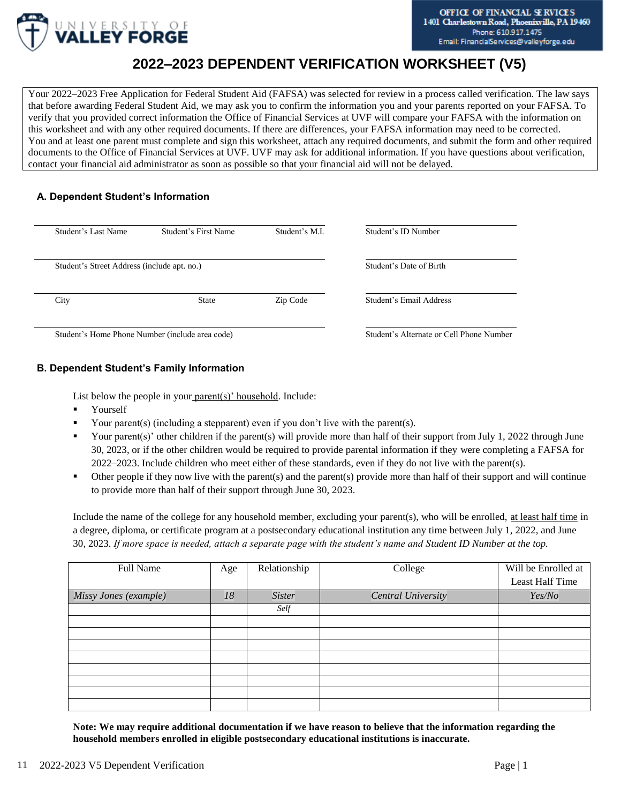

# **2022–2023 DEPENDENT VERIFICATION WORKSHEET (V5)**

Your 2022–2023 Free Application for Federal Student Aid (FAFSA) was selected for review in a process called verification. The law says that before awarding Federal Student Aid, we may ask you to confirm the information you and your parents reported on your FAFSA. To verify that you provided correct information the Office of Financial Services at UVF will compare your FAFSA with the information on this worksheet and with any other required documents. If there are differences, your FAFSA information may need to be corrected. You and at least one parent must complete and sign this worksheet, attach any required documents, and submit the form and other required documents to the Office of Financial Services at UVF. UVF may ask for additional information. If you have questions about verification, contact your financial aid administrator as soon as possible so that your financial aid will not be delayed.

# **A. Dependent Student's Information**

| Student's Last Name                         | Student's First Name                            | Student's M.I.          | Student's ID Number                      |
|---------------------------------------------|-------------------------------------------------|-------------------------|------------------------------------------|
| Student's Street Address (include apt. no.) |                                                 | Student's Date of Birth |                                          |
| City                                        | <b>State</b>                                    | Zip Code                | Student's Email Address                  |
|                                             | Student's Home Phone Number (include area code) |                         | Student's Alternate or Cell Phone Number |

Student's Home Phone Number (include area code)

# **B. Dependent Student's Family Information**

List below the people in your parent(s)' household. Include:

- **Yourself**
- Your parent(s) (including a stepparent) even if you don't live with the parent(s).
- Your parent(s)' other children if the parent(s) will provide more than half of their support from July 1, 2022 through June 30, 2023, or if the other children would be required to provide parental information if they were completing a FAFSA for 2022–2023. Include children who meet either of these standards, even if they do not live with the parent(s).
- Other people if they now live with the parent(s) and the parent(s) provide more than half of their support and will continue to provide more than half of their support through June 30, 2023.

Include the name of the college for any household member, excluding your parent(s), who will be enrolled, at least half time in a degree, diploma, or certificate program at a postsecondary educational institution any time between July 1, 2022, and June 30, 2023. *If more space is needed, attach a separate page with the student's name and Student ID Number at the top.*

| Full Name             | Age | Relationship  | College                   | Will be Enrolled at<br>Least Half Time |
|-----------------------|-----|---------------|---------------------------|----------------------------------------|
| Missy Jones (example) | 18  | <b>Sister</b> | <b>Central University</b> | Yes/No                                 |
|                       |     | Self          |                           |                                        |
|                       |     |               |                           |                                        |
|                       |     |               |                           |                                        |
|                       |     |               |                           |                                        |
|                       |     |               |                           |                                        |
|                       |     |               |                           |                                        |
|                       |     |               |                           |                                        |
|                       |     |               |                           |                                        |
|                       |     |               |                           |                                        |

**Note: We may require additional documentation if we have reason to believe that the information regarding the household members enrolled in eligible postsecondary educational institutions is inaccurate.**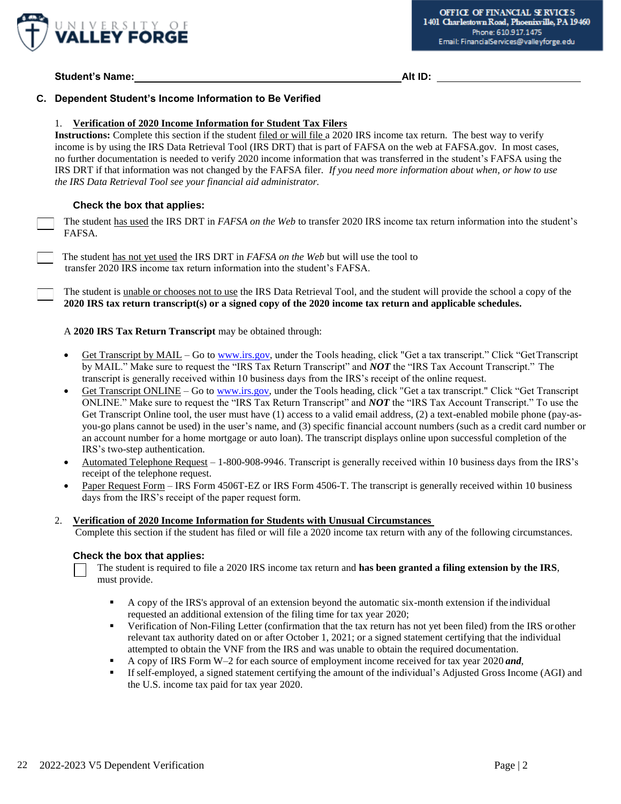

# **Student's Name: Alt ID:**

## **C. Dependent Student's Income Information to Be Verified**

#### 1. **Verification of 2020 Income Information for Student Tax Filers**

**Instructions:** Complete this section if the student filed or will file a 2020 IRS income tax return. The best way to verify income is by using the IRS Data Retrieval Tool (IRS DRT) that is part of FAFSA on the web at FAFSA.gov. In most cases, no further documentation is needed to verify 2020 income information that was transferred in the student's FAFSA using the IRS DRT if that information was not changed by the FAFSA filer. *If you need more information about when, or how to use the IRS Data Retrieval Tool see your financial aid administrator.* 

# **Check the box that applies:**

The student has used the IRS DRT in *FAFSA on the Web* to transfer 2020 IRS income tax return information into the student's FAFSA*.*

The student has not yet used the IRS DRT in *FAFSA on the Web* but will use the tool to transfer 2020 IRS income tax return information into the student's FAFSA.

The student is unable or chooses not to use the IRS Data Retrieval Tool, and the student will provide the school a copy of the **2020 IRS tax return transcript(s) or a signed copy of the 2020 income tax return and applicable schedules.** 

#### A **2020 IRS Tax Return Transcript** may be obtained through:

- Get Transcript by MAIL Go to [www.irs.gov, u](http://www.irs.gov/)nder the Tools heading, click "Get a tax transcript." Click "Get Transcript by MAIL." Make sure to request the "IRS Tax Return Transcript" and *NOT* the "IRS Tax Account Transcript." The transcript is generally received within 10 business days from the IRS's receipt of the online request.
- Get Transcript ONLINE Go to [www.irs.gov, u](http://www.irs.gov/)nder the Tools heading, click "Get a tax transcript." Click "Get Transcript ONLINE." Make sure to request the "IRS Tax Return Transcript" and *NOT* the "IRS Tax Account Transcript." To use the Get Transcript Online tool, the user must have (1) access to a valid email address, (2) a text-enabled mobile phone (pay-asyou-go plans cannot be used) in the user's name, and (3) specific financial account numbers (such as a credit card number or an account number for a home mortgage or auto loan). The transcript displays online upon successful completion of the IRS's two-step authentication.
- Automated Telephone Request 1-800-908-9946. Transcript is generally received within 10 business days from the IRS's receipt of the telephone request.
- Paper Request Form IRS Form 4506T-EZ or IRS Form 4506-T. The transcript is generally received within 10 business days from the IRS's receipt of the paper request form.

#### 2. **Verification of 2020 Income Information for Students with Unusual Circumstances**

Complete this section if the student has filed or will file a 2020 income tax return with any of the following circumstances.

#### **Check the box that applies:**

The student is required to file a 2020 IRS income tax return and **has been granted a filing extension by the IRS**, must provide.

- **•** A copy of the IRS's approval of an extension beyond the automatic six-month extension if the individual requested an additional extension of the filing time for tax year 2020;
- **•** Verification of Non-Filing Letter (confirmation that the tax return has not yet been filed) from the IRS or other relevant tax authority dated on or after October 1, 2021; or a signed statement certifying that the individual attempted to obtain the VNF from the IRS and was unable to obtain the required documentation.
- A copy of IRS Form W–2 for each source of employment income received for tax year 2020 *and*,
- If self-employed, a signed statement certifying the amount of the individual's Adjusted Gross Income (AGI) and the U.S. income tax paid for tax year 2020.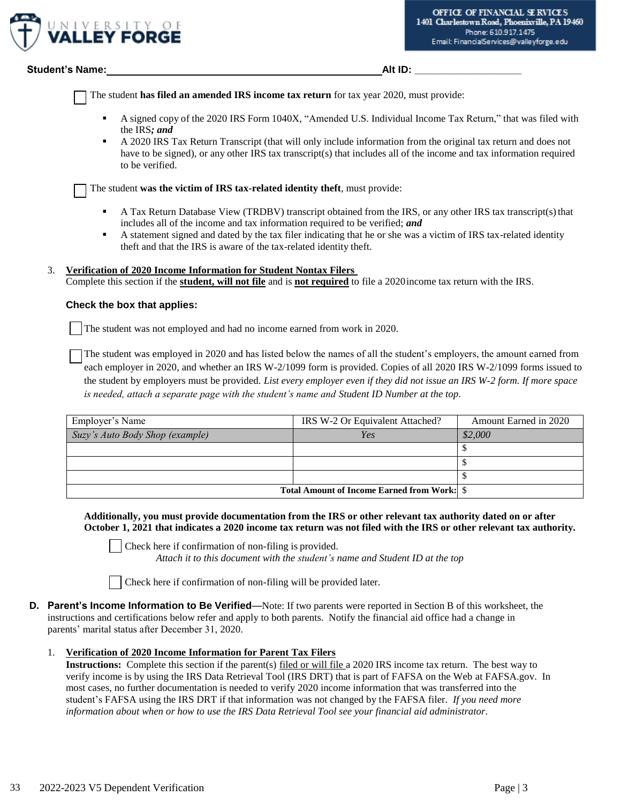

# **Student's Name: Alt ID: Alt ID: Alt ID: Alt ID: Alt ID: Alt ID: Alt ID: Alt ID: Alt ID: Alt ID: Alt ID: Alt ID: Alt ID: Alt ID: Alt ID: Alt ID: Alt ID: Alt ID: Alt ID: Alt ID: Alt**

The student **has filed an amended IRS income tax return** for tax year 2020, must provide:

- A signed copy of the 2020 IRS Form 1040X, "Amended U.S. Individual Income Tax Return," that was filed with the IRS*; and*
- A 2020 IRS Tax Return Transcript (that will only include information from the original tax return and does not have to be signed), or any other IRS tax transcript(s) that includes all of the income and tax information required to be verified.

The student **was the victim of IRS tax-related identity theft**, must provide:

- A Tax Return Database View (TRDBV) transcript obtained from the IRS, or any other IRS tax transcript(s) that includes all of the income and tax information required to be verified; *and*
- A statement signed and dated by the tax filer indicating that he or she was a victim of IRS tax-related identity theft and that the IRS is aware of the tax-related identity theft.

# 3. **Verification of 2020 Income Information for Student Nontax Filers**

Complete this section if the **student, will not file** and is **not required** to file a 2020income tax return with the IRS.

# **Check the box that applies:**

The student was not employed and had no income earned from work in 2020.

The student was employed in 2020 and has listed below the names of all the student's employers, the amount earned from each employer in 2020, and whether an IRS W-2/1099 form is provided. Copies of all 2020 IRS W-2/1099 forms issued to the student by employers must be provided. *List every employer even if they did not issue an IRS W-2 form. If more space is needed, attach a separate page with the student's name and Student ID Number at the top.* 

| Employer's Name                                    | IRS W-2 Or Equivalent Attached? | Amount Earned in 2020 |
|----------------------------------------------------|---------------------------------|-----------------------|
| Suzy's Auto Body Shop (example)                    | Yes                             | \$2,000               |
|                                                    |                                 |                       |
|                                                    |                                 |                       |
|                                                    |                                 |                       |
| <b>Total Amount of Income Earned from Work:</b> \$ |                                 |                       |

**Additionally, you must provide documentation from the IRS or other relevant tax authority dated on or after October 1, 2021 that indicates a 2020 income tax return was not filed with the IRS or other relevant tax authority.** 

Check here if confirmation of non-filing is provided.

*Attach it to this document with the student's name and Student ID at the top* 

Check here if confirmation of non-filing will be provided later.

- **D. Parent's Income Information to Be Verified**—Note: If two parents were reported in Section B of this worksheet, the instructions and certifications below refer and apply to both parents. Notify the financial aid office had a change in parents' marital status after December 31, 2020.
	- 1. **Verification of 2020 Income Information for Parent Tax Filers**

**Instructions:** Complete this section if the parent(s) filed or will file a 2020 IRS income tax return. The best way to verify income is by using the IRS Data Retrieval Tool (IRS DRT) that is part of FAFSA on the Web at FAFSA.gov. In most cases, no further documentation is needed to verify 2020 income information that was transferred into the student's FAFSA using the IRS DRT if that information was not changed by the FAFSA filer. *If you need more information about when or how to use the IRS Data Retrieval Tool see your financial aid administrator.*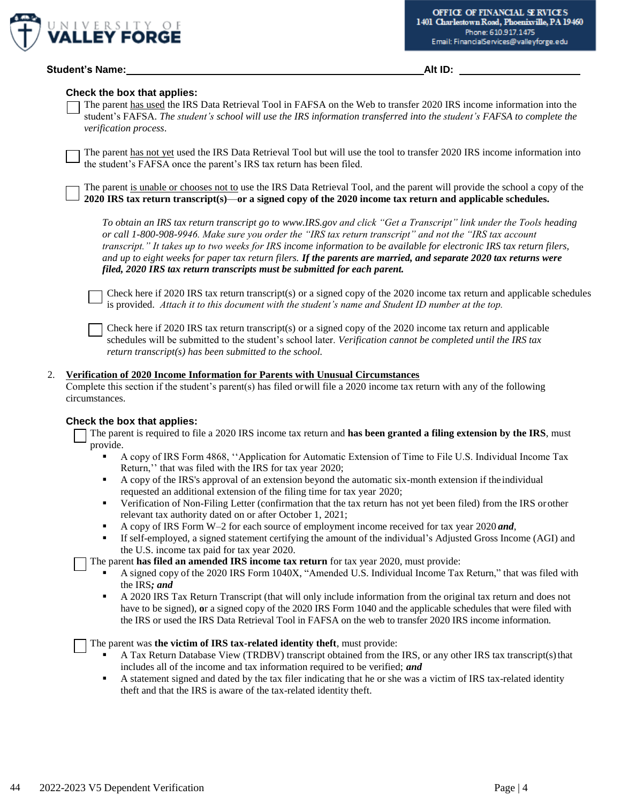

#### **Check the box that applies:**

The parent has used the IRS Data Retrieval Tool in FAFSA on the Web to transfer 2020 IRS income information into the student's FAFSA. The student's school will use the IRS information transferred into the student's FAFSA to complete the *verification process*.

The parent has not yet used the IRS Data Retrieval Tool but will use the tool to transfer 2020 IRS income information into the student's FAFSA once the parent's IRS tax return has been filed.

The parent is unable or chooses not to use the IRS Data Retrieval Tool, and the parent will provide the school a copy of the **2020 IRS tax return transcript(s)**—**or a signed copy of the 2020 income tax return and applicable schedules.** 

*To obtain an IRS tax return transcript go to [www.IRS.gov a](http://www.irs.gov/)nd click "Get a Transcript" link under the Tools heading or call 1-800-908-9946. Make sure you order the "IRS tax return transcript" and not the "IRS tax account transcript." It takes up to two weeks for IRS income information to be available for electronic IRS tax return filers, and up to eight weeks for paper tax return filers. If the parents are married, and separate 2020 tax returns were filed, 2020 IRS tax return transcripts must be submitted for each parent.* 

Check here if 2020 IRS tax return transcript(s) or a signed copy of the 2020 income tax return and applicable schedules is provided. *Attach it to this document with the student's name and Student ID number at the top.* 

Check here if 2020 IRS tax return transcript(s) or a signed copy of the 2020 income tax return and applicable schedules will be submitted to the student's school later. *Verification cannot be completed until the IRS tax return transcript(s) has been submitted to the school.*

#### 2. **Verification of 2020 Income Information for Parents with Unusual Circumstances**

Complete this section if the student's parent(s) has filed orwill file a 2020 income tax return with any of the following circumstances.

# **Check the box that applies:**

The parent is required to file a 2020 IRS income tax return and **has been granted a filing extension by the IRS**, must provide.

- A copy of IRS Form 4868, ''Application for Automatic Extension of Time to File U.S. Individual Income Tax Return,'' that was filed with the IRS for tax year 2020;
- A copy of the IRS's approval of an extension beyond the automatic six-month extension if the individual requested an additional extension of the filing time for tax year 2020;
- **•** Verification of Non-Filing Letter (confirmation that the tax return has not yet been filed) from the IRS or other relevant tax authority dated on or after October 1, 2021;
- A copy of IRS Form W–2 for each source of employment income received for tax year 2020 *and*,
- If self-employed, a signed statement certifying the amount of the individual's Adjusted Gross Income (AGI) and the U.S. income tax paid for tax year 2020.
- The parent **has filed an amended IRS income tax return** for tax year 2020, must provide:
	- A signed copy of the 2020 IRS Form 1040X, "Amended U.S. Individual Income Tax Return," that was filed with the IRS*; and*
	- A 2020 IRS Tax Return Transcript (that will only include information from the original tax return and does not have to be signed), **o**r a signed copy of the 2020 IRS Form 1040 and the applicable schedules that were filed with the IRS or used the IRS Data Retrieval Tool in FAFSA on the web to transfer 2020 IRS income information.

The parent was **the victim of IRS tax-related identity theft**, must provide:

- A Tax Return Database View (TRDBV) transcript obtained from the IRS, or any other IRS tax transcript(s) that includes all of the income and tax information required to be verified; *and*
- A statement signed and dated by the tax filer indicating that he or she was a victim of IRS tax-related identity theft and that the IRS is aware of the tax-related identity theft.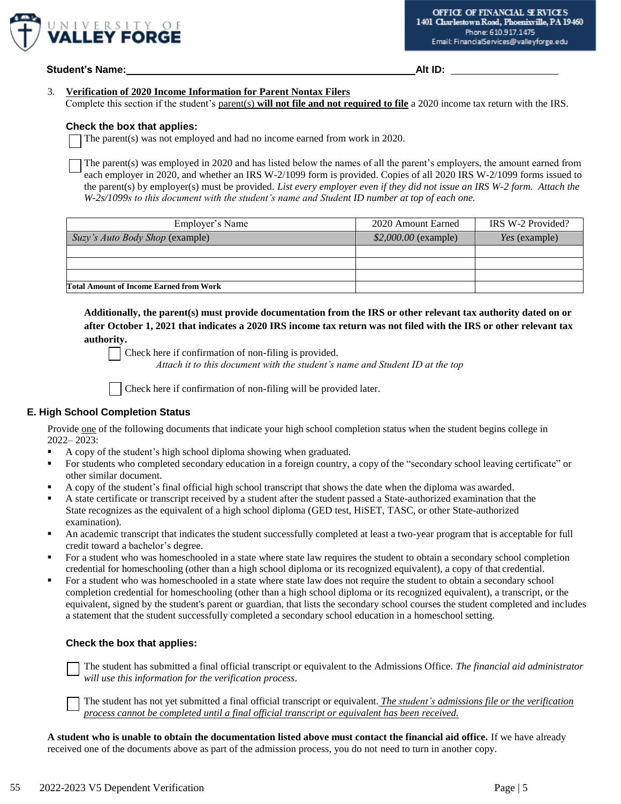

**Student's Name:** Alt ID: **Alt ID:**  $\overline{A}$  Alt ID:  $\overline{A}$  Alt ID:  $\overline{A}$ 

### 3. **Verification of 2020 Income Information for Parent Nontax Filers**

Complete this section if the student's parent(s) **will not file and not required to file** a 2020 income tax return with the IRS.

#### **Check the box that applies:**

The parent(s) was not employed and had no income earned from work in 2020.

The parent(s) was employed in 2020 and has listed below the names of all the parent's employers, the amount earned from each employer in 2020, and whether an IRS W-2/1099 form is provided. Copies of all 2020 IRS W-2/1099 forms issued to the parent(s) by employer(s) must be provided. *List every employer even if they did not issue an IRS W-2 form. Attach the W-2s/1099s to this document with the student's name and Student ID number at top of each one.* 

| Employer's Name                                | 2020 Amount Earned    | IRS W-2 Provided?    |
|------------------------------------------------|-----------------------|----------------------|
| Suzy's Auto Body Shop (example)                | $$2,000.00$ (example) | <i>Yes</i> (example) |
|                                                |                       |                      |
|                                                |                       |                      |
|                                                |                       |                      |
| <b>Total Amount of Income Earned from Work</b> |                       |                      |

**Additionally, the parent(s) must provide documentation from the IRS or other relevant tax authority dated on or after October 1, 2021 that indicates a 2020 IRS income tax return was not filed with the IRS or other relevant tax authority.** 

Check here if confirmation of non-filing is provided. *Attach it to this document with the student's name and Student ID at the top* 

Check here if confirmation of non-filing will be provided later.

# **E. High School Completion Status**

Provide one of the following documents that indicate your high school completion status when the student begins college in 2022– 2023:

- A copy of the student's high school diploma showing when graduated.
- For students who completed secondary education in a foreign country, a copy of the "secondary school leaving certificate" or other similar document.
- A copy of the student's final official high school transcript that shows the date when the diploma was awarded.
- A state certificate or transcript received by a student after the student passed a State-authorized examination that the State recognizes as the equivalent of a high school diploma (GED test, HiSET, TASC, or other State-authorized examination).
- An academic transcript that indicates the student successfully completed at least a two-year program that is acceptable for full credit toward a bachelor's degree.
- For a student who was homeschooled in a state where state law requires the student to obtain a secondary school completion credential for homeschooling (other than a high school diploma or its recognized equivalent), a copy of that credential.
- **•** For a student who was homeschooled in a state where state law does not require the student to obtain a secondary school completion credential for homeschooling (other than a high school diploma or its recognized equivalent), a transcript, or the equivalent, signed by the student's parent or guardian, that lists the secondary school courses the student completed and includes a statement that the student successfully completed a secondary school education in a homeschool setting.

# **Check the box that applies:**

The student has submitted a final official transcript or equivalent to the Admissions Office. *The financial aid administrator will use this information for the verification process*.

The student has not yet submitted a final official transcript or equivalent. *The student's admissions file or the verification process cannot be completed until a final official transcript or equivalent has been received.*

**A student who is unable to obtain the documentation listed above must contact the financial aid office.** If we have already received one of the documents above as part of the admission process, you do not need to turn in another copy.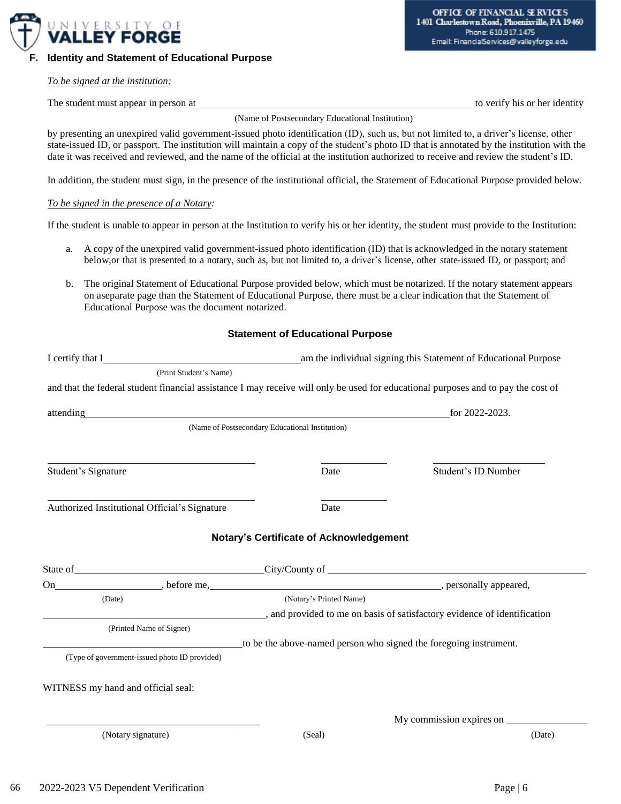

**F. Identity and Statement of Educational Purpose**

#### *To be signed at the institution:*

The student must appear in person at the student must appear in person at the verify his or her identity

(Name of Postsecondary Educational Institution)

by presenting an unexpired valid government-issued photo identification (ID), such as, but not limited to, a driver's license, other state-issued ID, or passport. The institution will maintain a copy of the student's photo ID that is annotated by the institution with the date it was received and reviewed, and the name of the official at the institution authorized to receive and review the student's ID.

In addition, the student must sign, in the presence of the institutional official, the Statement of Educational Purpose provided below.

#### *To be signed in the presence of a Notary:*

If the student is unable to appear in person at the Institution to verify his or her identity, the student must provide to the Institution:

- a. A copy of the unexpired valid government-issued photo identification (ID) that is acknowledged in the notary statement below,or that is presented to a notary, such as, but not limited to, a driver's license, other state-issued ID, or passport; and
- b. The original Statement of Educational Purpose provided below, which must be notarized. If the notary statement appears on aseparate page than the Statement of Educational Purpose, there must be a clear indication that the Statement of Educational Purpose was the document notarized.

#### **Statement of Educational Purpose**

| I certify that I                                                                                                                  | am the individual signing this Statement of Educational Purpose        |                          |  |
|-----------------------------------------------------------------------------------------------------------------------------------|------------------------------------------------------------------------|--------------------------|--|
| (Print Student's Name)                                                                                                            |                                                                        |                          |  |
| and that the federal student financial assistance I may receive will only be used for educational purposes and to pay the cost of |                                                                        |                          |  |
| attending and the contract of the contract of the contract of the contract of the contract of the contract of                     |                                                                        | for 2022-2023.           |  |
|                                                                                                                                   | (Name of Postsecondary Educational Institution)                        |                          |  |
| Student's Signature                                                                                                               | Date                                                                   | Student's ID Number      |  |
| Authorized Institutional Official's Signature                                                                                     | Date                                                                   |                          |  |
|                                                                                                                                   | <b>Notary's Certificate of Acknowledgement</b>                         |                          |  |
| State of City/County of City/County of City/County of City/County of City/County of City/County of City/County of City            |                                                                        |                          |  |
|                                                                                                                                   |                                                                        |                          |  |
| (Date)                                                                                                                            | (Notary's Printed Name)                                                |                          |  |
|                                                                                                                                   | and provided to me on basis of satisfactory evidence of identification |                          |  |
| (Printed Name of Signer)                                                                                                          |                                                                        |                          |  |
|                                                                                                                                   | to be the above-named person who signed the foregoing instrument.      |                          |  |
| (Type of government-issued photo ID provided)                                                                                     |                                                                        |                          |  |
| WITNESS my hand and official seal:                                                                                                |                                                                        |                          |  |
|                                                                                                                                   |                                                                        | My commission expires on |  |
| (Notary signature)                                                                                                                | (Seal)                                                                 | (Date)                   |  |